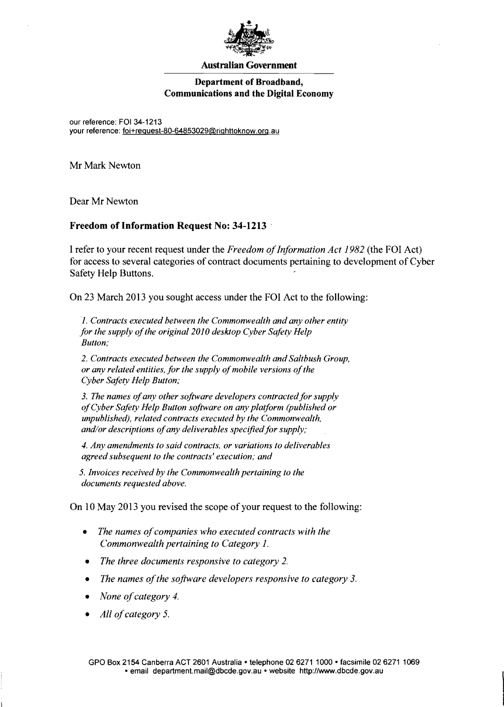

#### **Australian Government**

## **Department of Broadband, Communications and the Digital Economy**

our reference: FOI 34-1213 your reference: foi+request-80-64853029@righttoknow.org.au

Mr Mark Newton

Dear Mr Newton

## **Freedom** of Information **Request** No: **34-1213 .**

I refer to your recent request under the *Freedom ofInformation Act* 1982 (the FOI Act) for access to several categories of contract documents pertaining to development of Cyber Safety Help Buttons.

On 23 March 2013 you sought access under the FOI Act to the following:

I *Contracts executed between the Commonwealth and any other entity* for the supply of the original 2010 desktop Cyber Safety Help *Button;* 

*2. Contracts executed between the Commonwealth and Saltbush Group. or any related entities, for the supply of mobile versions of the Cyber Safety Help Button;* 

3. The names of any other software developers contracted for supply *ofCyber Safety Help Button software on any platform (published or unpublished), related contracts executed by the Commonwealth,*  and/or descriptions of any deliverables specified for supply;

*4. Any amendments to said contracts. or variations to deliverables agreed subsequent to the contracts' execution; and* 

*5. Invoices received by the Commonwealth pertaining to the documents requested above.* 

On 10 May 2013 you revised the scope of your request to the following:

- The names of companies who executed contracts with the *Commonwealth pertaining to Category 1.*
- *The three documents responsive to category 2.*
- *The names of the software developers responsive to category 3.*
- *None of category 4.*
- *All of category 5.*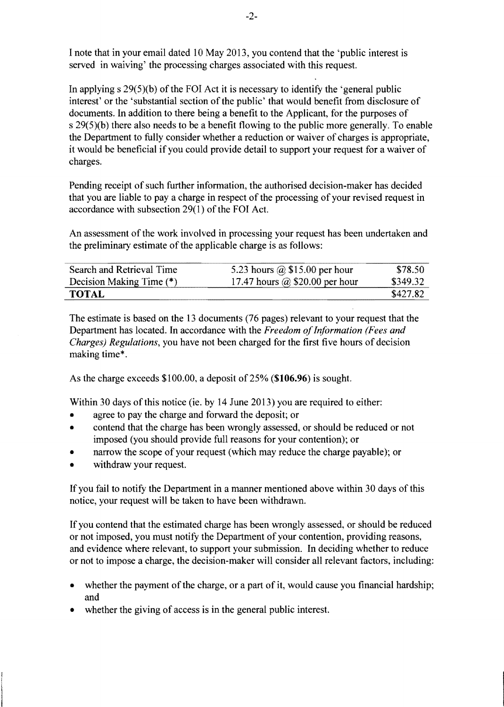I note that in your email dated 10 May 2013, you contend that the 'public interest is served in waiving' the processing charges associated with this request.

In applying s 29(5)(b) of the FOI Act it is necessary to identify the 'general public interest' or the 'substantial section of the public' that would benefit from disclosure of documents. In addition to there being a benefit to the Applicant, for the purposes of s 29(5)(b) there also needs to be a benefit flowing to the public more generally. To enable the Department to fully consider whether a reduction or waiver of charges is appropriate, it would be beneficial if you could provide detail to support your request for a waiver of charges.

Pending receipt of such further information, the authorised decision-maker has decided that you are liable to pay a charge in respect of the processing of your revised request in accordance with subsection 29(1) of the FOI Act.

An assessment of the work involved in processing your request has been undertaken and the preliminary estimate of the applicable charge is as follows:

| Search and Retrieval Time | 5.23 hours $\omega$ \$15.00 per hour  | \$78.50  |
|---------------------------|---------------------------------------|----------|
| Decision Making Time (*)  | 17.47 hours $\omega$ \$20.00 per hour | \$349.32 |
| <b>TOTAL</b>              |                                       | \$427.82 |

The estimate is based on the 13 documents (76 pages) relevant to your request that the Department has located. In accordance with the *Freedom of Information (Fees and Charges) Regulations,* you have not been charged for the first five hours of decision making time\* .

As the charge exceeds  $$100.00$ , a deposit of 25% (\$106.96) is sought.

Within 30 days of this notice (ie. by 14 June 2013) you are required to either:

- agree to pay the charge and forward the deposit; or
- contend that the charge has been wrongly assessed, or should be reduced or not imposed (you should provide full reasons for your contention); or
- narrow the scope of your request (which may reduce the charge payable); or
- withdraw your request.

If you fail to notify the Department in a manner mentioned above within 30 days of this notice, your request will be taken to have been withdrawn.

If you contend that the estimated charge has been wrongly assessed, or should be reduced or not imposed, you must notify the Department of your contention, providing reasons, and evidence where relevant, to support your submission. In deciding whether to reduce or not to impose a charge, the decision-maker will consider all relevant factors, including:

- whether the payment of the charge, or a part of it, would cause you financial hardship; and
- whether the giving of access is in the general public interest.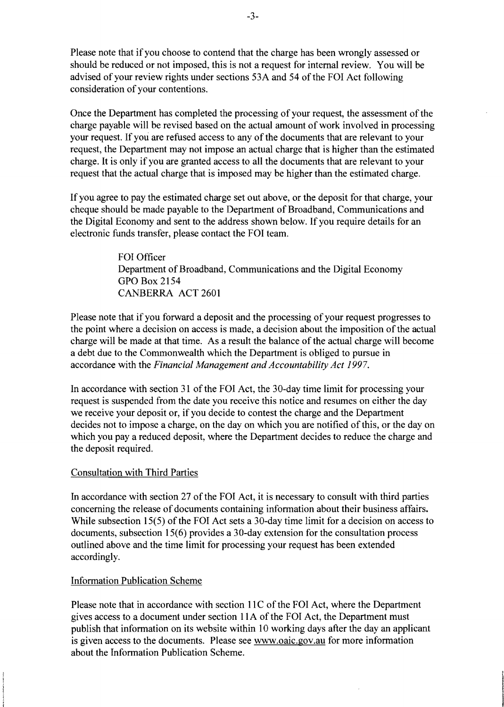Please note that if you choose to contend that the charge has been wrongly assessed or should be reduced or not imposed, this is not a request for internal review. You will be advised of your review rights under sections 53A and 54 ofthe FOl Act following consideration of your contentions.

Once the Department has completed the processing of your request, the assessment of the charge payable will be revised based on the actual amount of work involved in processing your request. If you are refused access to any of the documents that are relevant to your request, the Department may not impose an actual charge that is higher than the estimated charge. It is only if you are granted access to all the documents that are relevant to your request that the actual charge that is imposed may be higher than the estimated charge.

If you agree to pay the estimated charge set out above, or the deposit for that charge, your cheque should be made payable to the Department of Broadband, Communications and the Digital Economy and sent to the address shown below. If you require details for an electronic funds transfer, please contact the FOI team.

> FOI Officer Department of Broadband, Communications and the Digital Economy GPO Box 2154 CANBERRA ACT 2601

Please note that if you forward a deposit and the processing of your request progresses to the point where a decision on access is made, a decision about the imposition of the actual charge will be made at that time. As a result the balance of the actual charge will become a debt due to the Commonwealth which the Department is obliged to pursue in accordance with the *Financial Management and Accountability Act 1997*.

In accordance with section 31 of the FOI Act, the 30-day time limit for processing your request is suspended from the date you receive this notice and resumes on either the day we receive your deposit or, if you decide to contest the charge and the Department decides not to impose a charge, on the day on which you are notified of this, or the day on which you pay a reduced deposit, where the Department decides to reduce the charge and the deposit required.

## Consultation with Third Parties

In accordance with section 27 of the FOI Act, it is necessary to consult with third parties concerning the release of documents containing information about their business affairs. While subsection 15(5) of the FOI Act sets a 30-day time limit for a decision on access to documents, subsection 15(6) provides a 30-day extension for the consultation process outlined above and the time limit for processing your request has been extended accordingly.

# Information Publication Scheme

Please note that in accordance with section 11C of the FOI Act, where the Department gives access to a document under section IIA of the FOI Act, the Department must publish that information on its website within 10 working days after the day an applicant is given access to the documents. Please see www.oaic.gov.au for more information about the Information Publication Scheme.